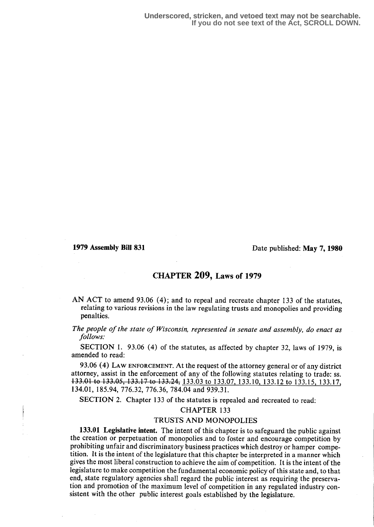1979 Assembly Bill 831 Date published: May 7, 1980

## CHAPTER 209, Laws of 1979

AN ACT to amend 93.06 (4); and to repeal and recreate chapter 133 of the statutes, relating to various revisions in the law regulating trusts and monopolies and providing penalties.

The people of the state of Wisconsin, represented in senate and assembly, do enact as follows:

SECTION 1. 93.06 (4) of the statutes, as affected by chapter 32, laws of 1979, is amended to read:

93.06 (4) LAW ENFORCEMENT. At the request of the attorney general or of any district attorney, assist in the enforcement of any of the following statutes relating to trade: ss. 133.01 to 133.05, 133.17 to 133.24, 133.03 to 133.07, 133.10, 133.12 to 133.15, 133.17, 134.01, 185.94, 776.32, 776.36, 784.04 and 939.31.

SECTION 2. Chapter 133 of the statutes is repealed and recreated to read:

#### CHAPTER 133

#### TRUSTS AND MONOPOLIES

133.01 Legislative intent. The intent of this chapter is to safeguard the public against the creation or perpetuation of monopolies and to foster and encourage competition by prohibiting unfair and discriminatory business practices which destroy or hamper competition . It is the intent of the legislature that this chapter be interpreted in a manner which gives the most liberal construction to achieve the aim of competition. It is the intent of the legislature to make competition the fundamental economic policy of this state and, to that end, state regulatory agencies shall regard the public interest as requiring the preservation and promotion of the maximum level of competition in any regulated industry consistent with the other public interest goals established by the legislature.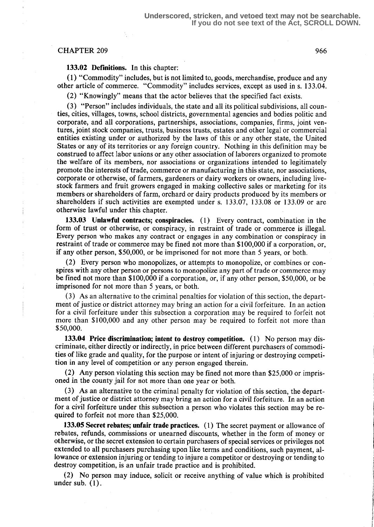### CHAPTER 209 966

133.02 Definitions. In this chapter:

(1) "Commodity" includes, but is not limited to, goods, merchandise, produce and any other article of commerce. "Commodity" includes services, except as used in s. 133.04.

(2) "Knowingly" means that the actor believes that the specified fact exists .

(3) "Person" includes individuals, the state and all its political subdivisions, all counties, cities, villages, towns, school districts, governmental agencies and bodies politic and corporate, and all corporations, partnerships, associations, companies, firms, joint ventures, joint stock companies, trusts, business trusts, estates and other legal or commercial entities existing under or authorized by the laws of this or any other state, the United States or any of its territories or any foreign country. Nothing in this definition may be construed to affect labor unions or any other association of laborers organized to promote the welfare of its members, nor associations or organizations intended to legitimately promote the interests of trade, commerce or manufacturing in this state, nor associations, corporate or otherwise, of farmers, gardeners or dairy workers or owners, including livestock farmers and fruit growers engaged in making collective sales or marketing for its members or shareholders of farm, orchard or dairy products produced by its members or shareholders if such activities are exempted under s. 133.07, 133.08 or 133.09 or are otherwise lawful under this chapter.

133.03 Unlawful contracts; conspiracies. (1) Every contract, combination in the form of trust or otherwise, or conspiracy, in restraint of trade or commerce is illegal. Every person who makes any contract or engages in any combination or conspiracy in restraint of trade or commerce may be fined not more than \$100,000 if a corporation, or, if any other person, \$50,000, or be imprisoned for not more than 5 years, or both.

(2) Every person who monopolizes, or attempts to monopolize, or combines or conspires with any other person or persons to monopolize any part of trade or commerce may be fined not more than \$100,000 if a corporation, or, if any other person, \$50,000, or be imprisoned for not more than 5 years, or both.

(3) As an alternative to the criminal penalties for violation of this section, the department of justice or district attorney may bring an action for a civil forfeiture. In an action for a civil forfeiture under this subsection a corporation may be required to forfeit not more than \$100,000 and any other person may be required to forfeit not more than \$50,000.

133.04 Price discrimination; intent to destroy competition.  $(1)$  No person may discriminate, either directly or indirectly, in price between different purchasers of commodities of like grade and quality, for the purpose or intent of injuring or destroying competition in any level of competition or any person engaged therein.

(2) Any person violating this section may be fined not more than \$25,000 or imprisoned in the county jail for not more than one year or both.

(3) As an alternative to the criminal penalty for violation of this section, the department of justice or district attorney may bring an action for a civil forfeiture. In an action for a civil forfeiture under this subsection a person who violates this section may be required to forfeit not more than \$25,000.

133.05 Secret rebates; unfair trade practices. (1) The secret payment or allowance of rebates, refunds, commissions or unearned discounts, whether in the form of money or otherwise, or the secret extension to certain purchasers of special services or privileges not extended to all purchasers purchasing upon like terms and conditions, such payment, allowance or extension injuring or tending to injure a competitor or destroying or tending to destroy competition, is an unfair trade practice and is prohibited.

(2) No person may induce, solicit or receive anything of value which is prohibited under sub.  $(1)$ .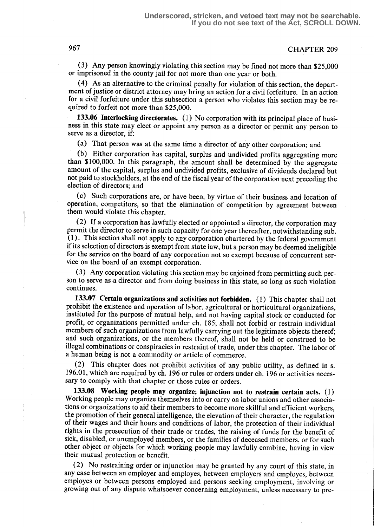## 967 CHAPTER 209

(3) Any person knowingly violating this section may be fined not more than \$25,000 or imprisoned in the county jail for not more than one year or both.

(4) As an alternative to the criminal penalty for violation of this section, the department of justice or district attorney may bring an action for a civil forfeiture. In an action for a civil forfeiture under this subsection a person who violates this section may be required to forfeit not more than \$25,000.

133.06 Interlocking directorates. (1) No corporation with its principal place of business in this state may elect or appoint any person as a director or permit any person to serve as a director, if:

(a) That person was at the same time a director of any other corporation; and

(b) Either corporation has capital, surplus and undivided profits aggregating more than \$100,000. In this paragraph, the amount shall be determined by the aggregate amount of the capital, surplus and undivided profits, exclusive of dividends declared but not paid to stockholders, at the end of the fiscal year of the corporation next preceding the election of directors; and

(c) Such corporations are, or have been, by virtue of their business and location of operation, competitors, so that the elimination of competition by agreement between them would violate this chapter.

(2) If a corporation has lawfully elected or appointed a director, the corporation may permit the director to serve in such capacity for one year thereafter, notwithstanding sub. (1) . This section shall not apply to any corporation chartered by the federal government if its selection of directors is exempt from state law, but a person may be deemed ineligible for the service on the board of any corporation not so exempt because of concurrent service on the board of an exempt corporation.

(3) Any corporation violating this section may be enjoined from permitting such person to serve as a director and from doing business in this state, so long as such violation continues.

133.07 Certain organizations and activities not forbidden. (1) This chapter shall not prohibit the existence and operation of labor, agricultural or horticultural organizations, instituted for the purpose of mutual help, and not having capital stock or conducted for profit, or organizations permitted under ch. 185; shall not forbid or restrain individual members of such organizations from lawfully carrying out the legitimate objects thereof; and such organizations, or the members thereof, shall not be held or construed to be illegal combinations or conspiracies in restraint of trade, under this chapter. The labor of a human being is not a commodity or article of commerce.

(2) This chapter does not prohibit activities of any public utility, as defined in s. 196.01, which are required by ch. 196 or rules or orders under ch. 196 or activities necessary to comply with that chapter or those rules or orders.

133.08 Working people may organize; injunction not to restrain certain acts. (1) Working people may organize themselves into or carry on labor unions and other associations or organizations to aid their members to become more skillful and efficient workers, the promotion of their general intelligence, the elevation of their character, the regulation of their wages and their hours and conditions of labor, the protection of their individual rights in the prosecution of their trade or trades, the raising of funds for the benefit of sick, disabled, or unemployed members, or the families of deceased members, or for such other object or objects for which working. people may lawfully combine, having in view their mutual protection or benefit.

(2) No restraining order or injunction may be granted by any court of this state, in any case between an employer and employes, between employers and employes, between employes or between persons employed and persons seeking employment, involving or growing out of any dispute whatsoever concerning employment, unless necessary to pre-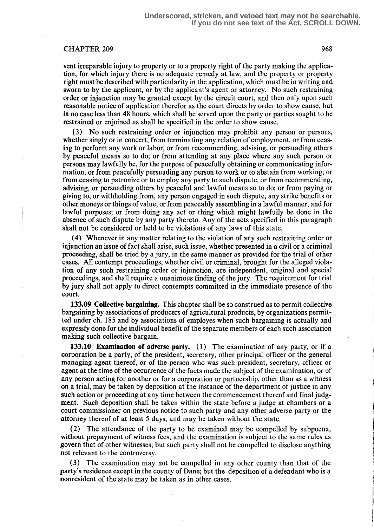### CHAPTER 209 968

vent irreparable injury to property or to a property right of the party making the application, for which injury there is no adequate remedy at law, and the property or property right must be described with particularity in the application, which must be in writing and sworn to by the applicant, or by the applicant's agent or attorney. No such restraining order or injunction may be granted except by the circuit court, and then only upon such reasonable notice of application therefor as the court directs by order to show cause, but in no case less than 48 hours, which shall be served upon the party or parties sought to be restrained or enjoined as shall be specified in the order to show cause.

(3) No such restraining order or injunction may prohibit any person or persons, whether singly or in concert, from terminating any relation of employment, or from ceasing to perform any work or labor, or from recommending, advising, or persuading others by peaceful means so to do; or from attending at any place where any such person or persons may lawfully be, for the purpose of peacefully obtaining or communicating information, or from peacefully persuading any person to work or to abstain from working; or from ceasing to patronize or to employ any party to such dispute, or from recommending, advising, or persuading others by peaceful and lawful means so to do; or from paying or giving to, or withholding from, any person engaged in such dispute, any strike benefits or other moneys or things of value; or from peaceably assembling in a lawful manner, and for lawful purposes; or from doing any act or thing which might lawfully be done in the absence of such dispute by any party thereto. Any of the acts specified in this paragraph shall not be considered or held to be violations of any laws of this state.

(4) Whenever in any matter relating to the violation of any such restraining order or injunction an issue of fact shall arise, such issue, whether presented in a civil or a criminal proceeding, shall be tried by a jury, in the same manner as provided for the trial of other cases. All contempt proceedings, whether civil or criminal, brought for the alleged violation of any such restraining order or injunction, are independent, original and special proceedings, and shall require a unanimous finding of the jury . The requirement for trial by jury shall not apply to direct contempts committed in the immediate presence of the court.

133.09 Collective bargaining. This chapter shall be so construed as to permit collective bargaining by associations of producers of agricultural products, by organizations permitted under ch. 185 and by associations of employes when such bargaining is actually and expressly done for the individual benefit of the separate members of each such association making such collective bargain.

133.10 Examination of adverse party. (1) The examination of any party, or if a corporation be a party, of the president, secretary, other principal officer or the general managing agent thereof, or of the person who was such president, secretary, officer or agent at the time of the occurrence of the facts made the subject of the examination, or of any person acting for another or for a corporation or partnership, other than as a witness on a trial, may be taken by deposition at the instance of the department of justice in any such action or proceeding at any time between the commencement thereof and final judgment. Such deposition shall be taken within the state before a judge at chambers or a court commissioner on previous notice to such party and any other adverse party or the attorney thereof of at least 5 days, and may be taken without the state.

(2) The attendance of the party to be examined may be compelled by subpoena, without prepayment of witness fees, and the examination is subject to the same rules as govern that of other witnesses; but such party shall not be compelled to disclose anything not relevant to the controversy.

(3) The examination may not be compelled in any other county than that of the party's residence except in the county of Dane; but the deposition of a defendant who is a nonresident of the state may be taken as in other cases.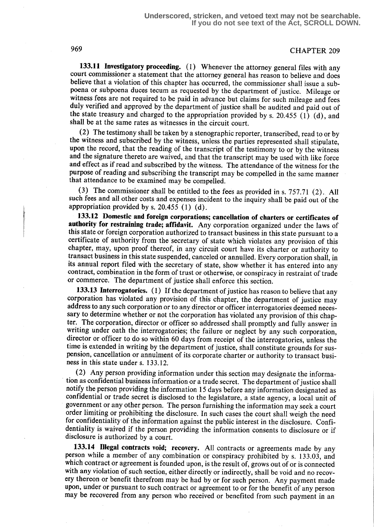# 969 CHAPTER 209

133.11 Investigatory proceeding. (1) Whenever the attorney general files with any court commissioner a statement that the attorney general has reason to believe and does believe that a violation of this chapter has occurred, the commissioner shall issue a subpoena or subpoena duces tecum as requested by the department of justice. Mileage or witness fees are not required to be paid in advance but claims for such mileage and fees duly verified and approved by the department of justice shall be audited and paid out of the state treasury and charged to the appropriation provided by s. 20.455 (1) (d), and shall be at the same rates as witnesses in the circuit court.

(2) The testimony shall be taken by a stenographic reporter, transcribed, read to or by the witness and subscribed by the witness, unless the parties represented shall stipulate, upon the record, that the reading of the transcript of the testimony to or by the witness and the signature thereto are waived, and that the transcript may be used with like force and effect as if read and subscribed by the witness. The attendance of the witness for the purpose of reading and subscribing the transcript may be compelled in the same manner that attendance to be examined may be compelled.

(3) The commissioner shall be entitled to the fees as provided in s. 757.71 (2) . All such fees and all other costs and expenses incident to the inquiry shall be paid out of the appropriation provided by s. 20.455 (1) (d) .

133.12 Domestic and foreign corporations; cancellation of charters or certificates of authority for restraining trade; affidavit. Any corporation organized under the laws of this state or foreign corporation authorized to transact business in this state pursuant to a certificate of authority from the secretary of state which violates any provision of this chapter, may, upon proof thereof, in any circuit court have its charter or authority to transact business in this state suspended, canceled or annulled. Every corporation shall, in its annual report filed with the secretary of state, show whether it has entered into any contract, combination in the form of trust or otherwise, or conspiracy in restraint of trade or commerce. The department of justice shall enforce this section.

133.13 Interrogatories. (1) If the department of justice has reason to believe that any corporation has violated any provision of this chapter, the department of justice may address to any such corporation or to any director or officer interrogatories deemed necessary to determine whether or not the corporation has violated any provision of this chapter. The corporation, director or officer so addressed shall promptly and fully answer in writing under oath the interrogatories; the failure or neglect by any such corporation, director or officer to do so within 60 days from receipt of the interrogatories, unless the time is extended in writing by the department of justice, shall constitute grounds for suspension, cancellation or annulment of its corporate charter or authority to transact business in this state under s. 133.12.

(2) Any person providing information under this section may designate the information as confidential business information or a trade secret. The department of justice shall notify the person providing the information 15 days before any information designated as confidential or trade secret is disclosed to the legislature, a state agency, a local unit of government or any other person. The person furnishing the information may seek a court order limiting or prohibiting the disclosure . In such cases the court shall weigh the need for confidentiality of the information against the public interest in the disclosure. Confidentiality is waived if the person providing the information consents to disclosure or if disclosure is authorized by a court.

133.14 Illegal contracts void; recovery. All contracts or agreements made by any person while a member of any combination or conspiracy prohibited by s. 133.03, and which contract or agreement is founded upon, is the result of, grows out of or is connected with any violation of such section, either directly or indirectly, shall be void and no recovery thereon or benefit therefrom may be had by or for such person. Any payment made upon, under or pursuant to such contract or agreement to or for the benefit of any person may be recovered from any person who received or benefited from such payment in an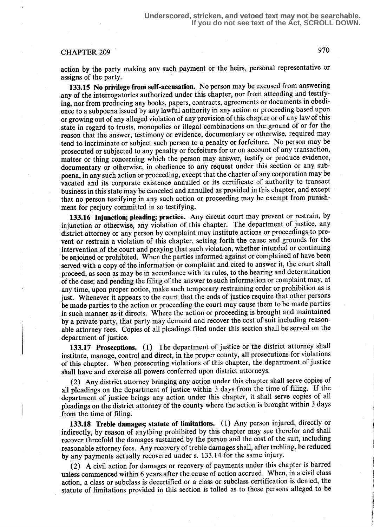# CHAPTER 209 970

action by the party making any such payment or the heirs, personal representative or assigns of the party.

133.15 No privilege from self-accusation. No person may be excused from answering any of the interrogatories authorized under this chapter, nor from attending and testifying, nor from producing any books, papers, contracts, agreements or documents in obedience to a subpoena issued by any lawful authority in any action or proceeding based upon or growing out of any alleged violation of any provision of this chapter or of any law of this state in regard to trusts, monopolies or illegal combinations on the ground of or for the reason that the answer, testimony or evidence, documentary or otherwise, required may tend to incriminate or subject such person to a penalty or forfeiture. No person may be prosecuted or subjected to any penalty or forfeiture for or on account of any transaction, matter or thing concerning which the person may answer, testify or produce evidence, documentary or otherwise, in obedience to any request under this section or any subpoena, in any such action or proceeding, except that the charter of any corporation may be vacated and its corporate existence annulled or its certificate of authority to transact business in this state may be canceled and annulled as provided in this chapter, and except that no person testifying in any such action or proceeding may be exempt from punishment for perjury committed in so testifying.

133.16 Injunction; pleading; practice. Any circuit court may prevent or restrain, by injunction or otherwise, any violation of this chapter. The department of justice, any district attorney or any person by complaint may institute actions or proceedings to prevent or restrain a violation of this chapter, setting forth the cause and grounds for the intervention of the court and praying that such violation, whether intended or continuing be enjoined or prohibited. When the parties informed against or complained of have been served with a copy of the information or complaint and cited to answer it, the court shall proceed, as soon as may be in accordance with its rules, to the hearing and determination of the case; and pending the filing of the answer to such information or complaint may, at any time, upon proper notice, make such temporary restraining order or prohibition as is just. Whenever it appears to the court that the ends of justice require that other persons be made parties to the action or proceeding the court may cause them to be made parties in such manner as it directs. Where the action or proceeding is brought and maintained by a private party, that party may demand and recover the cost of suit including reasonable attorney fees. Copies of all pleadings filed under this section shall be served on the department of justice.

133.17 Prosecutions. (1) The department of justice or the district attorney shall institute, manage, control and direct, in the proper county, all prosecutions for violations of this chapter. When prosecuting violations of this chapter, the department of justice shall have and exercise all powers conferred upon district attorneys.

(2) Any district attorney bringing any action under this chapter shall serve copies of all pleadings on the department of justice within 3 days from the time of filing. If the department of justice brings any action under this chapter, it shall serve copies of all pleadings on the district attorney of the county where the action is brought within 3 days from the time of filing.

133.18 Treble damages; statute of limitations. (1) Any person injured, directly or indirectly, by reason of anything prohibited by this chapter may sue therefor and shall recover threefold the damages sustained by the person and the cost of the suit, including reasonable attorney fees. Any recovery of treble damages shall, after trebling, be reduced by any payments actually recovered under s. 133.14 for the same injury.

(2) A civil action for damages or recovery of payments under this chapter is barred unless commenced within 6 years after the cause of action accrued. When, in a civil class action, a class or subclass is decertified or a class or subclass certification is denied, the statute of limitations provided in this section is tolled as to those persons alleged to be